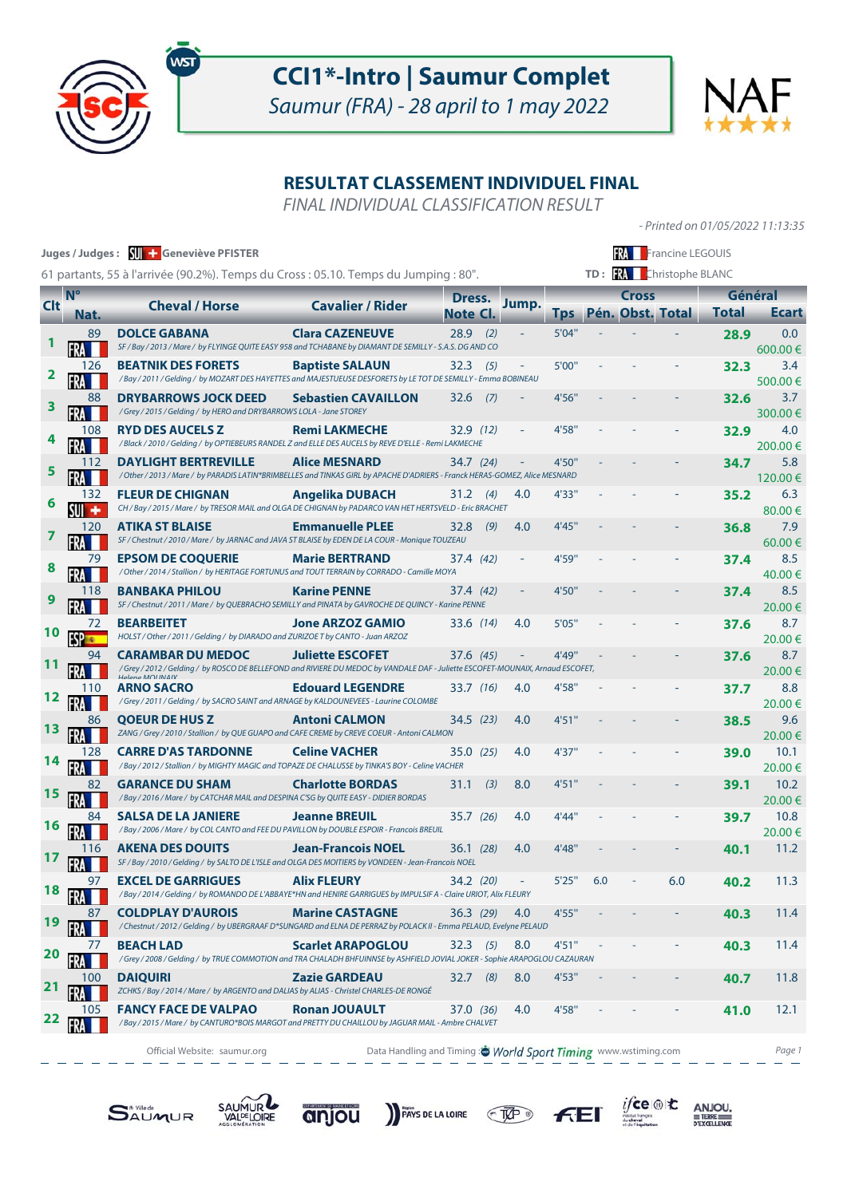

Saumur (FRA) - 28 april to 1 may 2022

- Printed on 01/05/2022 11:13:35

 $i\mathsf{fce} \circledast \mathsf{t}$ 

 $F<sub>E</sub>$ 

 $\underset{\text{pexcillence}}{\text{ANJOU}}$ 

# **RESULTAT CLASSEMENT INDIVIDUEL FINAL**

FINAL INDIVIDUAL CLASSIFICATION RESULT

| Juges / Judges: W + Geneviève PFISTER<br><b>RA</b> Francine LEGOUIS<br>TD: <b>W</b> Christophe BLANC<br>61 partants, 55 à l'arrivée (90.2%). Temps du Cross : 05.10. Temps du Jumping : 80". |             |                                                                                                                                                                        |                                                               |                    |     |                          |            |     |              |                  |              |                |
|----------------------------------------------------------------------------------------------------------------------------------------------------------------------------------------------|-------------|------------------------------------------------------------------------------------------------------------------------------------------------------------------------|---------------------------------------------------------------|--------------------|-----|--------------------------|------------|-----|--------------|------------------|--------------|----------------|
|                                                                                                                                                                                              | $N^{\circ}$ |                                                                                                                                                                        |                                                               |                    |     |                          |            |     | <b>Cross</b> |                  |              | Général        |
| <b>Clt</b>                                                                                                                                                                                   | Nat.        | <b>Cheval / Horse</b>                                                                                                                                                  | <b>Cavalier / Rider</b>                                       | Dress.<br>Note Cl. |     | Jump.                    | <b>Tps</b> |     |              | Pén. Obst. Total | <b>Total</b> | <b>Ecart</b>   |
|                                                                                                                                                                                              | 89          | <b>DOLCE GABANA</b><br>SF / Bay / 2013 / Mare / by FLYINGE QUITE EASY 958 and TCHABANE by DIAMANT DE SEMILLY - S.A.S. DG AND CO                                        | <b>Clara CAZENEUVE</b>                                        | 28.9               | (2) |                          | 5'04"      |     |              |                  | 28.9         | 0.0<br>600.00€ |
| 2                                                                                                                                                                                            | 126         | <b>BEATNIK DES FORETS</b><br>/ Bay / 2011 / Gelding / by MOZART DES HAYETTES and MAJESTUEUSE DESFORETS by LE TOT DE SEMILLY - Emma BOBINEAU                            | <b>Baptiste SALAUN</b>                                        | 32.3               | (5) |                          | 5'00"      |     |              |                  | 32.3         | 3.4<br>500.00€ |
| З                                                                                                                                                                                            | 88          | <b>DRYBARROWS JOCK DEED</b><br>/ Grey / 2015 / Gelding / by HERO and DRYBARROWS LOLA - Jane STOREY                                                                     | <b>Sebastien CAVAILLON</b>                                    | 32.6               | (7) |                          | 4'56"      |     |              |                  | 32.6         | 3.7<br>300.00€ |
|                                                                                                                                                                                              | 108         | <b>RYD DES AUCELS Z</b><br>/ Black / 2010 / Gelding / by OPTIEBEURS RANDEL Z and ELLE DES AUCELS by REVE D'ELLE - Remi LAKMECHE                                        | <b>Remi LAKMECHE</b>                                          | 32.9 (12)          |     |                          | 4'58"      |     |              |                  | 32.9         | 4.0<br>200.00€ |
| 5                                                                                                                                                                                            | 112         | <b>DAYLIGHT BERTREVILLE</b><br>/ Other / 2013 / Mare / by PARADIS LATIN*BRIMBELLES and TINKAS GIRL by APACHE D'ADRIERS - Franck HERAS-GOMEZ, Alice MESNARD             | <b>Alice MESNARD</b>                                          | 34.7 (24)          |     |                          | 4'50"      |     |              |                  | 34.7         | 5.8<br>120.00€ |
|                                                                                                                                                                                              | 132<br>۰    | <b>FLEUR DE CHIGNAN</b><br>CH / Bay / 2015 / Mare / by TRESOR MAIL and OLGA DE CHIGNAN by PADARCO VAN HET HERTSVELD - Eric BRACHET                                     | <b>Angelika DUBACH</b>                                        | 31.2               | (4) | 4.0                      | 4'33"      |     |              |                  | 35.2         | 6.3<br>80.00€  |
|                                                                                                                                                                                              | 120         | <b>ATIKA ST BLAISE</b><br>SF / Chestnut / 2010 / Mare / by JARNAC and JAVA ST BLAISE by EDEN DE LA COUR - Monique TOUZEAU                                              | <b>Emmanuelle PLEE</b>                                        | 32.8               | (9) | 4.0                      | 4'45"      |     |              |                  | 36.8         | 7.9<br>60.00 € |
|                                                                                                                                                                                              | 79          | <b>EPSOM DE COQUERIE</b><br>/ Other / 2014 / Stallion / by HERITAGE FORTUNUS and TOUT TERRAIN by CORRADO - Camille MOYA                                                | <b>Marie BERTRAND</b>                                         | 37.4 (42)          |     |                          | 4'59"      |     |              |                  | 37.4         | 8.5<br>40.00€  |
| 9                                                                                                                                                                                            | 118         | <b>BANBAKA PHILOU</b><br>SF / Chestnut / 2011 / Mare / by QUEBRACHO SEMILLY and PINATA by GAVROCHE DE QUINCY - Karine PENNE                                            | <b>Karine PENNE</b>                                           | 37.4 (42)          |     |                          | 4'50"      |     |              |                  | 37.4         | 8.5<br>20.00€  |
|                                                                                                                                                                                              | 72          | <b>BEARBEITET</b><br>HOLST / Other / 2011 / Gelding / by DIARADO and ZURIZOE T by CANTO - Juan ARZOZ                                                                   | <b>Jone ARZOZ GAMIO</b>                                       | 33.6 (14)          |     | 4.0                      | 5'05"      |     |              |                  | 37.6         | 8.7<br>20.00€  |
|                                                                                                                                                                                              | 94          | <b>CARAMBAR DU MEDOC</b><br>/Grey/2012/Gelding/by ROSCO DE BELLEFOND and RIVIERE DU MEDOC by VANDALE DAF - Juliette ESCOFET-MOUNAIX, Arnaud ESCOFET,<br>Hologo MOUNAIV | <b>Juliette ESCOFET</b>                                       | 37.6 (45)          |     |                          | 4'49"      |     |              |                  | 37.6         | 8.7<br>20.00€  |
|                                                                                                                                                                                              | 110         | <b>ARNO SACRO</b><br>/ Grey / 2011 / Gelding / by SACRO SAINT and ARNAGE by KALDOUNEVEES - Laurine COLOMBE                                                             | <b>Edouard LEGENDRE</b>                                       | 33.7 (16)          |     | 4.0                      | 4'58"      |     |              |                  | 37.7         | 8.8<br>20.00€  |
|                                                                                                                                                                                              | 86          | <b>QOEUR DE HUS Z</b><br>ZANG / Grey / 2010 / Stallion / by QUE GUAPO and CAFE CREME by CREVE COEUR - Antoni CALMON                                                    | <b>Antoni CALMON</b>                                          | 34.5(23)           |     | 4.0                      | 4'51''     |     |              |                  | 38.5         | 9.6<br>20.00€  |
|                                                                                                                                                                                              | 128         | <b>CARRE D'AS TARDONNE</b><br>/Bay/2012/Stallion/ by MIGHTY MAGIC and TOPAZE DE CHALUSSE by TINKA'S BOY - Celine VACHER                                                | <b>Celine VACHER</b>                                          | 35.0(25)           |     | 4.0                      | 4'37"      |     |              |                  | 39.0         | 10.1<br>20.00€ |
|                                                                                                                                                                                              |             | <b>GARANCE DU SHAM</b><br>/ Bay / 2016 / Mare / by CATCHAR MAIL and DESPINA C'SG by QUITE EASY - DIDIER BORDAS                                                         | <b>Charlotte BORDAS</b>                                       | 31.1               | (3) | 8.0                      | 4'51"      |     |              |                  | 39.1         | 10.2<br>20.00€ |
|                                                                                                                                                                                              |             | <b>SALSA DE LA JANIERE</b><br>/ Bay / 2006 / Mare / by COL CANTO and FEE DU PAVILLON by DOUBLE ESPOIR - Francois BREUIL                                                | <b>Jeanne BREUIL</b>                                          | 35.7 (26)          |     | 4.0                      | 4'44"      |     |              |                  | 39.7         | 10.8<br>20.00€ |
|                                                                                                                                                                                              | 116         | <b>AKENA DES DOUITS</b><br>SF / Bay / 2010 / Gelding / by SALTO DE L'ISLE and OLGA DES MOITIERS by VONDEEN - Jean-Francois NOEL                                        | <b>Jean-Francois NOEL</b>                                     | 36.1 (28)          |     | 4.0                      | 4'48"      |     |              |                  | 40.1         | 11.2           |
| 18                                                                                                                                                                                           | 97          | <b>EXCEL DE GARRIGUES</b><br>/ Bay / 2014 / Gelding / by ROMANDO DE L'ABBAYE*HN and HENIRE GARRIGUES by IMPULSIF A - Claire URIOT, Alix FLEURY                         | <b>Alix FLEURY</b>                                            | 34.2 (20)          |     | <b>Contract Contract</b> | 5'25'      | 0.0 |              | 6.0              | 40.2         | 11.3           |
| 19                                                                                                                                                                                           |             | <b>COLDPLAY D'AUROIS</b><br>/ Chestnut / 2012 / Gelding / by UBERGRAAF D*SUNGARD and ELNA DE PERRAZ by POLACK II - Emma PELAUD, Evelyne PELAUD                         | <b>Marine CASTAGNE</b>                                        | 36.3(29)           |     | 4.0                      | 4'55"      |     |              |                  | 40.3         | 11.4           |
| 20                                                                                                                                                                                           | 77          | <b>BEACH LAD</b><br>/ Grey / 2008 / Gelding / by TRUE COMMOTION and TRA CHALADH BHFUINNSE by ASHFIELD JOVIAL JOKER - Sophie ARAPOGLOU CAZAURAN                         | <b>Scarlet ARAPOGLOU</b>                                      | $32.3$ (5)         |     | 8.0                      | 4'51"      |     |              |                  | 40.3         | 11.4           |
| 21                                                                                                                                                                                           | 100         | <b>DAIQUIRI</b><br>ZCHKS / Bay / 2014 / Mare / by ARGENTO and DALIAS by ALIAS - Christel CHARLES-DE RONGÉ                                                              | <b>Zazie GARDEAU</b>                                          | $32.7$ (8)         |     | 8.0                      | 4'53"      |     |              |                  | 40.7         | 11.8           |
| 22                                                                                                                                                                                           | 105         | <b>FANCY FACE DE VALPAO</b><br>/ Bay / 2015 / Mare / by CANTURO*BOIS MARGOT and PRETTY DU CHAILLOU by JAGUAR MAIL - Ambre CHALVET                                      | <b>Ronan JOUAULT</b>                                          | 37.0 (36)          |     | 4.0                      | 4'58"      |     |              |                  | 41.0         | 12.1           |
|                                                                                                                                                                                              |             | Official Website: saumur.org                                                                                                                                           | Data Handling and Timing: World Sport Timing www.wstiming.com |                    |     |                          |            |     |              |                  |              | Page 1         |







PAYS DE LA LOIRE TAP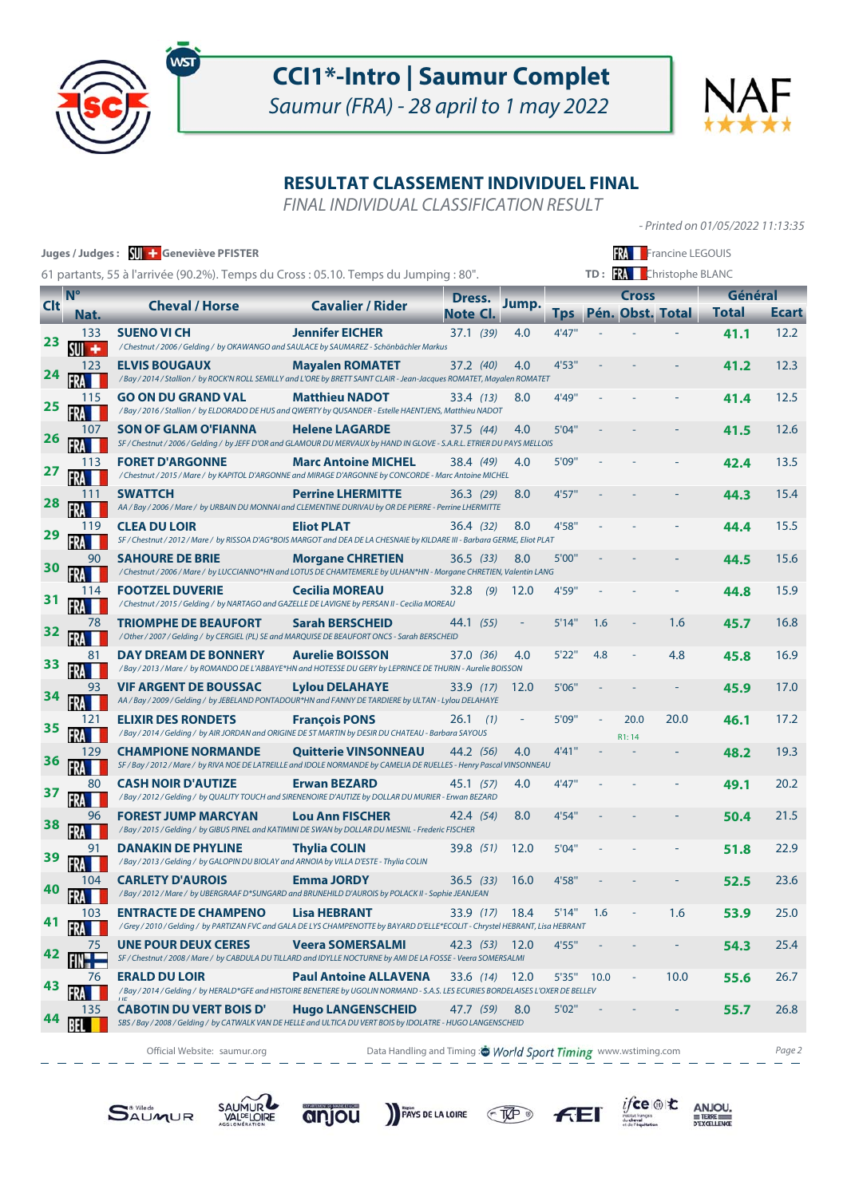

Saumur (FRA) - 28 april to 1 may 2022

- Printed on 01/05/2022 11:13:35

 $\underset{\underbrace{\text{new}}}{\underbrace{\text{if } \text{true}}} \quad \underset{\text{precl}}{\underbrace{\text{ANDU}}}.$ 

 $FE$ 

# **RESULTAT CLASSEMENT INDIVIDUEL FINAL**

FINAL INDIVIDUAL CLASSIFICATION RESULT

| Juges / Judges: <a>SU</a> Geneviève PFISTER<br><b>FRA</b> Francine LEGOUIS<br>TD: <b>W</b> Christophe BLANC |      |                                                                                                                                                           |                                                               |                    |        |              |              |                          |                  |                         |              |
|-------------------------------------------------------------------------------------------------------------|------|-----------------------------------------------------------------------------------------------------------------------------------------------------------|---------------------------------------------------------------|--------------------|--------|--------------|--------------|--------------------------|------------------|-------------------------|--------------|
| 61 partants, 55 à l'arrivée (90.2%). Temps du Cross : 05.10. Temps du Jumping : 80".<br>$N^{\circ}$         |      |                                                                                                                                                           |                                                               |                    |        |              | <b>Cross</b> |                          |                  |                         |              |
| <b>Clt</b>                                                                                                  | Nat. | <b>Cheval / Horse</b>                                                                                                                                     | <b>Cavalier / Rider</b>                                       | Dress.<br>Note Cl. | Jump.  | <b>Tps</b>   |              |                          | Pén. Obst. Total | Général<br><b>Total</b> | <b>Ecart</b> |
| 23                                                                                                          | 133  | <b>SUENO VI CH</b><br>/ Chestnut / 2006 / Gelding / by OKAWANGO and SAULACE by SAUMAREZ - Schönbächler Markus                                             | <b>Jennifer EICHER</b>                                        | 37.1 (39)          | 4.0    | 4'47"        |              |                          |                  | 41.1                    | 12.2         |
| 24                                                                                                          | 123  | <b>ELVIS BOUGAUX</b><br>/ Bay / 2014 / Stallion / by ROCK'N ROLL SEMILLY and L'ORE by BRETT SAINT CLAIR - Jean-Jacques ROMATET, Mayalen ROMATET           | <b>Mayalen ROMATET</b>                                        | 37.2 (40)          | 4.0    | 4'53"        |              |                          |                  | 41.2                    | 12.3         |
| <u>25</u>                                                                                                   |      | <b>GO ON DU GRAND VAL</b><br>/ Bay / 2016 / Stallion / by ELDORADO DE HUS and QWERTY by QUSANDER - Estelle HAENTJENS, Matthieu NADOT                      | <b>Matthieu NADOT</b>                                         | 33.4 (13)          | 8.0    | 4'49"        |              |                          |                  | 41.4                    | 12.5         |
| 26                                                                                                          | 107  | <b>SON OF GLAM O'FIANNA</b><br>SF / Chestnut / 2006 / Gelding / by JEFF D'OR and GLAMOUR DU MERVAUX by HAND IN GLOVE - S.A.R.L. ETRIER DU PAYS MELLOIS    | <b>Helene LAGARDE</b>                                         | 37.5 (44)          | 4.0    | 5'04"        |              |                          |                  | 41.5                    | 12.6         |
| 27                                                                                                          | 113  | <b>FORET D'ARGONNE</b><br>/ Chestnut / 2015 / Mare / by KAPITOL D'ARGONNE and MIRAGE D'ARGONNE by CONCORDE - Marc Antoine MICHEL                          | <b>Marc Antoine MICHEL</b>                                    | 38.4 (49)          | 4.0    | 5'09"        |              |                          |                  | 42.4                    | 13.5         |
| <u>28</u>                                                                                                   |      | <b>SWATTCH</b><br>AA / Bay / 2006 / Mare / by URBAIN DU MONNAI and CLEMENTINE DURIVAU by OR DE PIERRE - Perrine LHERMITTE                                 | <b>Perrine LHERMITTE</b>                                      | 36.3 (29)          | 8.0    | 4'57''       |              |                          |                  | 44.3                    | 15.4         |
| 29                                                                                                          | 119  | <b>CLEA DU LOIR</b><br>SF / Chestnut / 2012 / Mare / by RISSOA D'AG*BOIS MARGOT and DEA DE LA CHESNAIE by KILDARE III - Barbara GERME, Eliot PLAT         | <b>Eliot PLAT</b>                                             | 36.4 (32)          | 8.0    | 4'58"        |              |                          |                  | 44.4                    | 15.5         |
| 30                                                                                                          | 90   | <b>SAHOURE DE BRIE</b><br>/ Chestnut / 2006 / Mare / by LUCCIANNO*HN and LOTUS DE CHAMTEMERLE by ULHAN*HN - Morgane CHRETIEN, Valentin LANG               | <b>Morgane CHRETIEN</b>                                       | 36.5(33)           | 8.0    | 5'00"        |              |                          |                  | 44.5                    | 15.6         |
|                                                                                                             | 114  | <b>FOOTZEL DUVERIE</b><br>/ Chestnut / 2015 / Gelding / by NARTAGO and GAZELLE DE LAVIGNE by PERSAN II - Cecilia MOREAU                                   | <b>Cecilia MOREAU</b>                                         | 32.8<br>(9)        | 12.0   | 4'59"        |              |                          |                  | 44.8                    | 15.9         |
| <u>32</u>                                                                                                   | 78   | <b>TRIOMPHE DE BEAUFORT</b><br>/ Other / 2007 / Gelding / by CERGIEL (PL) SE and MARQUISE DE BEAUFORT ONCS - Sarah BERSCHEID                              | <b>Sarah BERSCHEID</b>                                        | 44.1 (55)          |        | 5'14"        | 1.6          |                          | 1.6              | 45.7                    | 16.8         |
| 33                                                                                                          |      | <b>DAY DREAM DE BONNERY</b><br>/ Bay / 2013 / Mare / by ROMANDO DE L'ABBAYE*HN and HOTESSE DU GERY by LEPRINCE DE THURIN - Aurelie BOISSON                | <b>Aurelie BOISSON</b>                                        | 37.0 (36)          | 4.0    | 5'22"        | 4.8          |                          | 4.8              | 45.8                    | 16.9         |
| 34                                                                                                          |      | <b>VIF ARGENT DE BOUSSAC</b><br>AA / Bay / 2009 / Gelding / by JEBELAND PONTADOUR*HN and FANNY DE TARDIERE by ULTAN - Lylou DELAHAYE                      | <b>Lylou DELAHAYE</b>                                         | 33.9 (17)          | 12.0   | 5'06"        |              |                          |                  | 45.9                    | 17.0         |
| 35                                                                                                          | 121  | <b>ELIXIR DES RONDETS</b><br>/ Bay / 2014 / Gelding / by AIR JORDAN and ORIGINE DE ST MARTIN by DESIR DU CHATEAU - Barbara SAYOUS                         | <b>François PONS</b>                                          | $26.1$ (1)         |        | 5'09"        |              | 20.0<br>R1:14            | 20.0             | 46.1                    | 17.2         |
| 36                                                                                                          | 129  | <b>CHAMPIONE NORMANDE</b><br>SF / Bay / 2012 / Mare / by RIVA NOE DE LATREILLE and IDOLE NORMANDE by CAMELIA DE RUELLES - Henry Pascal VINSONNEAU         | <b>Quitterie VINSONNEAU</b>                                   | 44.2 (56)          | 4.0    | 4'41"        |              |                          |                  | 48.2                    | 19.3         |
| 37                                                                                                          |      | <b>CASH NOIR D'AUTIZE</b><br>/ Bay / 2012 / Gelding / by QUALITY TOUCH and SIRENENOIRE D'AUTIZE by DOLLAR DU MURIER - Erwan BEZARD                        | <b>Erwan BEZARD</b>                                           | 45.1 (57)          | 4.0    | 4'47"        |              |                          |                  | 49.1                    | 20.2         |
| 38                                                                                                          | 96   | <b>FOREST JUMP MARCYAN</b><br>/ Bay / 2015 / Gelding / by GIBUS PINEL and KATIMINI DE SWAN by DOLLAR DU MESNIL - Frederic FISCHER                         | <b>Lou Ann FISCHER</b>                                        | 42.4 (54)          | 8.0    | 4'54"        |              |                          |                  | 50.4                    | 21.5         |
|                                                                                                             |      | <b>DANAKIN DE PHYLINE</b><br>/Bay / 2013 / Gelding / by GALOPIN DU BIOLAY and ARNOIA by VILLA D'ESTE - Thylia COLIN                                       | <b>Thylia COLIN</b>                                           | 39.8 (51)          | 12.0   | 5'04"        |              |                          |                  | 51.8                    | 22.9         |
| 40                                                                                                          | 104  | <b>CARLETY D'AUROIS</b><br>/ Bay / 2012 / Mare / by UBERGRAAF D*SUNGARD and BRUNEHILD D'AUROIS by POLACK II - Sophie JEANJEAN                             | <b>Emma JORDY</b>                                             | 36.5 (33) 16.0     |        | 4'58"        |              |                          |                  | 52.5                    | 23.6         |
| 41                                                                                                          |      | <b>ENTRACTE DE CHAMPENO</b><br>/Grey/2010/Gelding/by PARTIZAN FVC and GALA DE LYS CHAMPENOTTE by BAYARD D'ELLE*ECOLIT - Chrystel HEBRANT, Lisa HEBRANT    | <b>Lisa HEBRANT</b>                                           | 33.9 (17)          | - 18.4 | $5'14''$ 1.6 |              |                          | 1.6              | 53.9                    | 25.0         |
| 42                                                                                                          | 75   | <b>UNE POUR DEUX CERES</b><br>SF / Chestnut / 2008 / Mare / by CABDULA DU TILLARD and IDYLLE NOCTURNE by AMI DE LA FOSSE - Veera SOMERSALMI               | <b>Veera SOMERSALMI</b>                                       | 42.3 (53) 12.0     |        | 4'55"        |              |                          |                  | 54.3                    | 25.4         |
| 43                                                                                                          | 76   | <b>ERALD DU LOIR</b><br>/ Bay / 2014 / Gelding / by HERALD*GFE and HISTOIRE BENETIERE by UGOLIN NORMAND - S.A.S. LES ECURIES BORDELAISES L'OXER DE BELLEV | <b>Paul Antoine ALLAVENA</b>                                  | 33.6 (14) 12.0     |        |              | 5'35" 10.0   | $\overline{\phantom{a}}$ | 10.0             | 55.6                    | 26.7         |
|                                                                                                             | 135  | <b>CABOTIN DU VERT BOIS D'</b><br>SBS / Bay / 2008 / Gelding / by CATWALK VAN DE HELLE and ULTICA DU VERT BOIS by IDOLATRE - HUGO LANGENSCHEID            | <b>Hugo LANGENSCHEID</b>                                      | 47.7 (59)          | 8.0    | 5'02"        |              |                          |                  | 55.7                    | 26.8         |
|                                                                                                             |      | Official Website: saumur.org                                                                                                                              | Data Handling and Timing: World Sport Timing www.wstiming.com |                    |        |              |              |                          |                  |                         | Page 2       |

فتتراسط المدامس المدامس

PAYS DE LA LOIRE CHEP

**SAUMUR** 

المسامس سواسيات